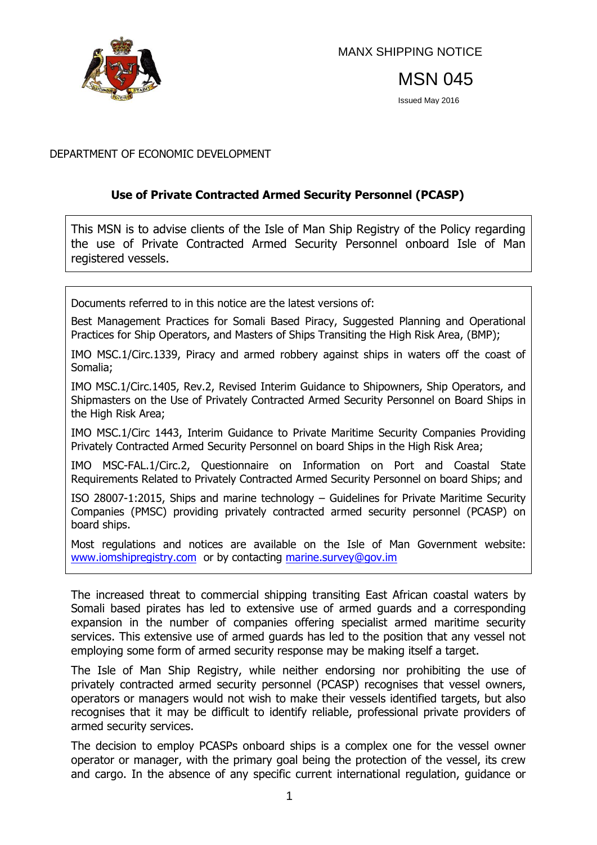

MANX SHIPPING NOTICE

MSN 045

Issued May 2016

### DEPARTMENT OF ECONOMIC DEVELOPMENT

### **Use of Private Contracted Armed Security Personnel (PCASP)**

This MSN is to advise clients of the Isle of Man Ship Registry of the Policy regarding the use of Private Contracted Armed Security Personnel onboard Isle of Man registered vessels.

Documents referred to in this notice are the latest versions of:

Best Management Practices for Somali Based Piracy, Suggested Planning and Operational Practices for Ship Operators, and Masters of Ships Transiting the High Risk Area, (BMP);

IMO MSC.1/Circ.1339, Piracy and armed robbery against ships in waters off the coast of Somalia;

IMO MSC.1/Circ.1405, Rev.2, Revised Interim Guidance to Shipowners, Ship Operators, and Shipmasters on the Use of Privately Contracted Armed Security Personnel on Board Ships in the High Risk Area;

IMO MSC.1/Circ 1443, Interim Guidance to Private Maritime Security Companies Providing Privately Contracted Armed Security Personnel on board Ships in the High Risk Area;

IMO MSC-FAL.1/Circ.2, Questionnaire on Information on Port and Coastal State Requirements Related to Privately Contracted Armed Security Personnel on board Ships; and

ISO 28007-1:2015, Ships and marine technology – Guidelines for Private Maritime Security Companies (PMSC) providing privately contracted armed security personnel (PCASP) on board ships.

Most regulations and notices are available on the Isle of Man Government website: [www.iomshipregistry.com](http://www.gov.im/dti/shipping) or by contacting [marine.survey@gov.im](mailto:marine.survey@gov.im)

The increased threat to commercial shipping transiting East African coastal waters by Somali based pirates has led to extensive use of armed guards and a corresponding expansion in the number of companies offering specialist armed maritime security services. This extensive use of armed guards has led to the position that any vessel not employing some form of armed security response may be making itself a target.

The Isle of Man Ship Registry, while neither endorsing nor prohibiting the use of privately contracted armed security personnel (PCASP) recognises that vessel owners, operators or managers would not wish to make their vessels identified targets, but also recognises that it may be difficult to identify reliable, professional private providers of armed security services.

The decision to employ PCASPs onboard ships is a complex one for the vessel owner operator or manager, with the primary goal being the protection of the vessel, its crew and cargo. In the absence of any specific current international regulation, guidance or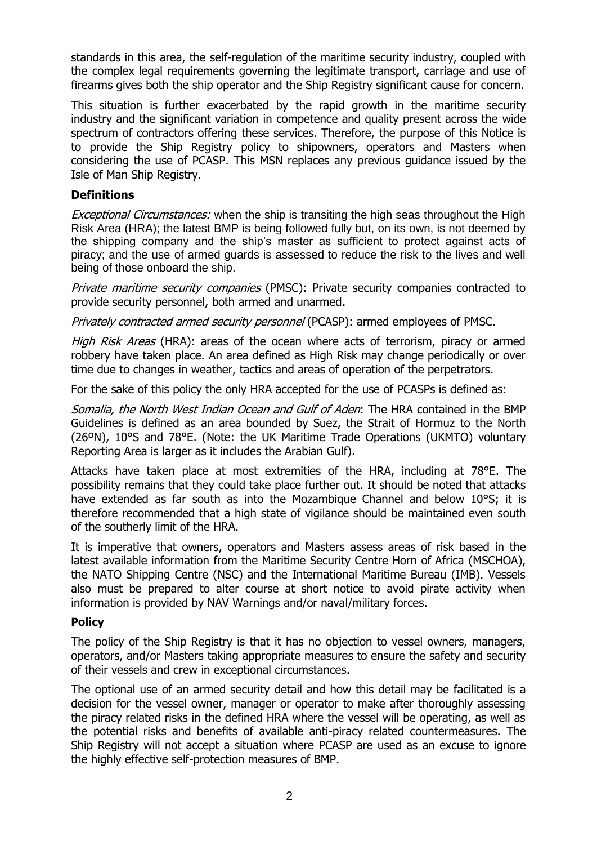standards in this area, the self-regulation of the maritime security industry, coupled with the complex legal requirements governing the legitimate transport, carriage and use of firearms gives both the ship operator and the Ship Registry significant cause for concern.

This situation is further exacerbated by the rapid growth in the maritime security industry and the significant variation in competence and quality present across the wide spectrum of contractors offering these services. Therefore, the purpose of this Notice is to provide the Ship Registry policy to shipowners, operators and Masters when considering the use of PCASP. This MSN replaces any previous guidance issued by the Isle of Man Ship Registry.

### **Definitions**

Exceptional Circumstances: when the ship is transiting the high seas throughout the High Risk Area (HRA); the latest BMP is being followed fully but, on its own, is not deemed by the shipping company and the ship's master as sufficient to protect against acts of piracy; and the use of armed guards is assessed to reduce the risk to the lives and well being of those onboard the ship.

Private maritime security companies (PMSC): Private security companies contracted to provide security personnel, both armed and unarmed.

Privately contracted armed security personnel (PCASP): armed employees of PMSC.

High Risk Areas (HRA): areas of the ocean where acts of terrorism, piracy or armed robbery have taken place. An area defined as High Risk may change periodically or over time due to changes in weather, tactics and areas of operation of the perpetrators.

For the sake of this policy the only HRA accepted for the use of PCASPs is defined as:

Somalia, the North West Indian Ocean and Gulf of Aden: The HRA contained in the BMP Guidelines is defined as an area bounded by Suez, the Strait of Hormuz to the North (26ºN), 10°S and 78°E. (Note: the UK Maritime Trade Operations (UKMTO) voluntary Reporting Area is larger as it includes the Arabian Gulf).

Attacks have taken place at most extremities of the HRA, including at 78°E. The possibility remains that they could take place further out. It should be noted that attacks have extended as far south as into the Mozambique Channel and below 10°S; it is therefore recommended that a high state of vigilance should be maintained even south of the southerly limit of the HRA.

It is imperative that owners, operators and Masters assess areas of risk based in the latest available information from the Maritime Security Centre Horn of Africa (MSCHOA), the NATO Shipping Centre (NSC) and the International Maritime Bureau (IMB). Vessels also must be prepared to alter course at short notice to avoid pirate activity when information is provided by NAV Warnings and/or naval/military forces.

### **Policy**

The policy of the Ship Registry is that it has no objection to vessel owners, managers, operators, and/or Masters taking appropriate measures to ensure the safety and security of their vessels and crew in exceptional circumstances.

The optional use of an armed security detail and how this detail may be facilitated is a decision for the vessel owner, manager or operator to make after thoroughly assessing the piracy related risks in the defined HRA where the vessel will be operating, as well as the potential risks and benefits of available anti-piracy related countermeasures. The Ship Registry will not accept a situation where PCASP are used as an excuse to ignore the highly effective self-protection measures of BMP.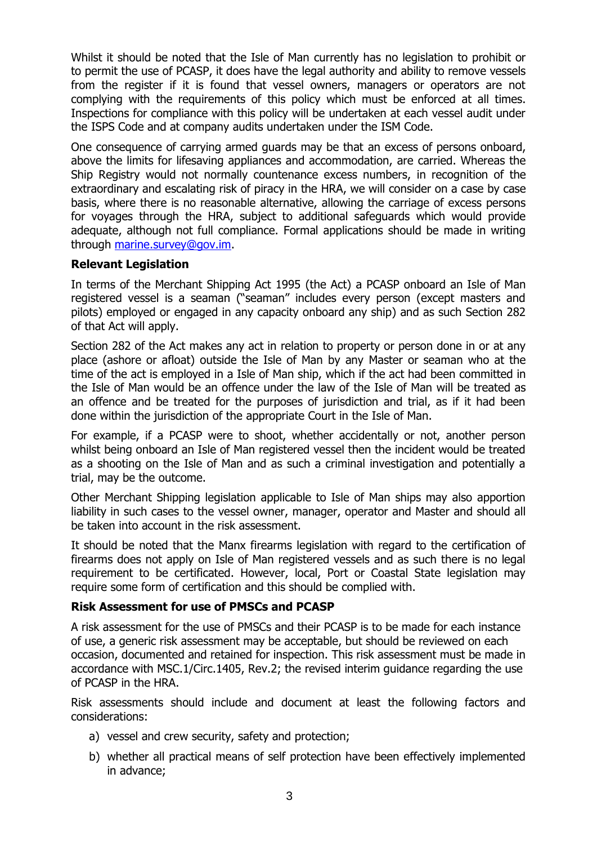Whilst it should be noted that the Isle of Man currently has no legislation to prohibit or to permit the use of PCASP, it does have the legal authority and ability to remove vessels from the register if it is found that vessel owners, managers or operators are not complying with the requirements of this policy which must be enforced at all times. Inspections for compliance with this policy will be undertaken at each vessel audit under the ISPS Code and at company audits undertaken under the ISM Code.

One consequence of carrying armed guards may be that an excess of persons onboard, above the limits for lifesaving appliances and accommodation, are carried. Whereas the Ship Registry would not normally countenance excess numbers, in recognition of the extraordinary and escalating risk of piracy in the HRA, we will consider on a case by case basis, where there is no reasonable alternative, allowing the carriage of excess persons for voyages through the HRA, subject to additional safeguards which would provide adequate, although not full compliance. Formal applications should be made in writing through [marine.survey@gov.im.](mailto:marine.survey@gov.im)

### **Relevant Legislation**

In terms of the Merchant Shipping Act 1995 (the Act) a PCASP onboard an Isle of Man registered vessel is a seaman ("seaman" includes every person (except masters and pilots) employed or engaged in any capacity onboard any ship) and as such Section 282 of that Act will apply.

Section 282 of the Act makes any act in relation to property or person done in or at any place (ashore or afloat) outside the Isle of Man by any Master or seaman who at the time of the act is employed in a Isle of Man ship, which if the act had been committed in the Isle of Man would be an offence under the law of the Isle of Man will be treated as an offence and be treated for the purposes of jurisdiction and trial, as if it had been done within the jurisdiction of the appropriate Court in the Isle of Man.

For example, if a PCASP were to shoot, whether accidentally or not, another person whilst being onboard an Isle of Man registered vessel then the incident would be treated as a shooting on the Isle of Man and as such a criminal investigation and potentially a trial, may be the outcome.

Other Merchant Shipping legislation applicable to Isle of Man ships may also apportion liability in such cases to the vessel owner, manager, operator and Master and should all be taken into account in the risk assessment.

It should be noted that the Manx firearms legislation with regard to the certification of firearms does not apply on Isle of Man registered vessels and as such there is no legal requirement to be certificated. However, local, Port or Coastal State legislation may require some form of certification and this should be complied with.

# **Risk Assessment for use of PMSCs and PCASP**

A risk assessment for the use of PMSCs and their PCASP is to be made for each instance of use, a generic risk assessment may be acceptable, but should be reviewed on each occasion, documented and retained for inspection. This risk assessment must be made in accordance with MSC.1/Circ.1405, Rev.2; the revised interim guidance regarding the use of PCASP in the HRA.

Risk assessments should include and document at least the following factors and considerations:

- a) vessel and crew security, safety and protection;
- b) whether all practical means of self protection have been effectively implemented in advance;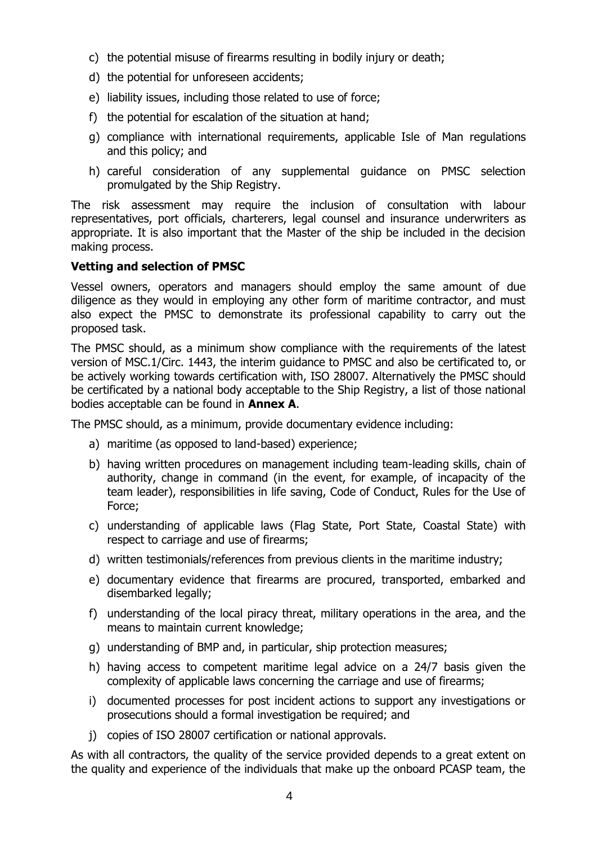- c) the potential misuse of firearms resulting in bodily injury or death;
- d) the potential for unforeseen accidents;
- e) liability issues, including those related to use of force;
- f) the potential for escalation of the situation at hand;
- g) compliance with international requirements, applicable Isle of Man regulations and this policy; and
- h) careful consideration of any supplemental guidance on PMSC selection promulgated by the Ship Registry.

The risk assessment may require the inclusion of consultation with labour representatives, port officials, charterers, legal counsel and insurance underwriters as appropriate. It is also important that the Master of the ship be included in the decision making process.

### **Vetting and selection of PMSC**

Vessel owners, operators and managers should employ the same amount of due diligence as they would in employing any other form of maritime contractor, and must also expect the PMSC to demonstrate its professional capability to carry out the proposed task.

The PMSC should, as a minimum show compliance with the requirements of the latest version of MSC.1/Circ. 1443, the interim guidance to PMSC and also be certificated to, or be actively working towards certification with, ISO 28007. Alternatively the PMSC should be certificated by a national body acceptable to the Ship Registry, a list of those national bodies acceptable can be found in **Annex A**.

The PMSC should, as a minimum, provide documentary evidence including:

- a) maritime (as opposed to land-based) experience;
- b) having written procedures on management including team-leading skills, chain of authority, change in command (in the event, for example, of incapacity of the team leader), responsibilities in life saving, Code of Conduct, Rules for the Use of Force;
- c) understanding of applicable laws (Flag State, Port State, Coastal State) with respect to carriage and use of firearms;
- d) written testimonials/references from previous clients in the maritime industry;
- e) documentary evidence that firearms are procured, transported, embarked and disembarked legally;
- f) understanding of the local piracy threat, military operations in the area, and the means to maintain current knowledge;
- g) understanding of BMP and, in particular, ship protection measures;
- h) having access to competent maritime legal advice on a 24/7 basis given the complexity of applicable laws concerning the carriage and use of firearms;
- i) documented processes for post incident actions to support any investigations or prosecutions should a formal investigation be required; and
- j) copies of ISO 28007 certification or national approvals.

As with all contractors, the quality of the service provided depends to a great extent on the quality and experience of the individuals that make up the onboard PCASP team, the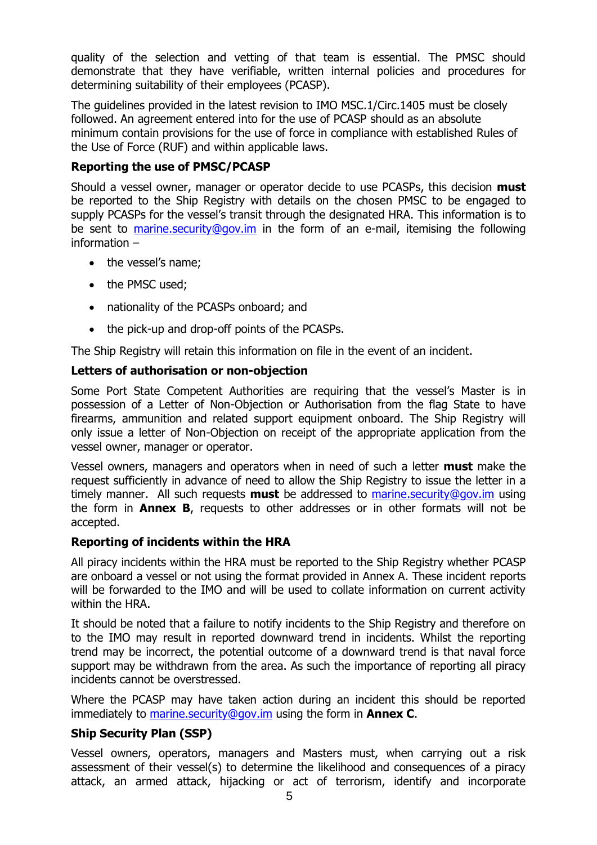quality of the selection and vetting of that team is essential. The PMSC should demonstrate that they have verifiable, written internal policies and procedures for determining suitability of their employees (PCASP).

The guidelines provided in the latest revision to IMO MSC.1/Circ.1405 must be closely followed. An agreement entered into for the use of PCASP should as an absolute minimum contain provisions for the use of force in compliance with established Rules of the Use of Force (RUF) and within applicable laws.

### **Reporting the use of PMSC/PCASP**

Should a vessel owner, manager or operator decide to use PCASPs, this decision **must** be reported to the Ship Registry with details on the chosen PMSC to be engaged to supply PCASPs for the vessel's transit through the designated HRA. This information is to be sent to [marine.security@gov.im](mailto:marine.security@gov.im) in the form of an e-mail, itemising the following information –

- the vessel's name;
- the PMSC used;
- nationality of the PCASPs onboard; and
- the pick-up and drop-off points of the PCASPs.

The Ship Registry will retain this information on file in the event of an incident.

# **Letters of authorisation or non-objection**

Some Port State Competent Authorities are requiring that the vessel's Master is in possession of a Letter of Non-Objection or Authorisation from the flag State to have firearms, ammunition and related support equipment onboard. The Ship Registry will only issue a letter of Non-Objection on receipt of the appropriate application from the vessel owner, manager or operator.

Vessel owners, managers and operators when in need of such a letter **must** make the request sufficiently in advance of need to allow the Ship Registry to issue the letter in a timely manner. All such requests **must** be addressed to [marine.security@gov.im](mailto:marine.security@gov.im) using the form in **Annex B**, requests to other addresses or in other formats will not be accepted.

### **Reporting of incidents within the HRA**

All piracy incidents within the HRA must be reported to the Ship Registry whether PCASP are onboard a vessel or not using the format provided in Annex A. These incident reports will be forwarded to the IMO and will be used to collate information on current activity within the HRA.

It should be noted that a failure to notify incidents to the Ship Registry and therefore on to the IMO may result in reported downward trend in incidents. Whilst the reporting trend may be incorrect, the potential outcome of a downward trend is that naval force support may be withdrawn from the area. As such the importance of reporting all piracy incidents cannot be overstressed.

Where the PCASP may have taken action during an incident this should be reported immediately to [marine.security@gov.im](mailto:marine.security@gov.im) using the form in **Annex C**.

# **Ship Security Plan (SSP)**

Vessel owners, operators, managers and Masters must, when carrying out a risk assessment of their vessel(s) to determine the likelihood and consequences of a piracy attack, an armed attack, hijacking or act of terrorism, identify and incorporate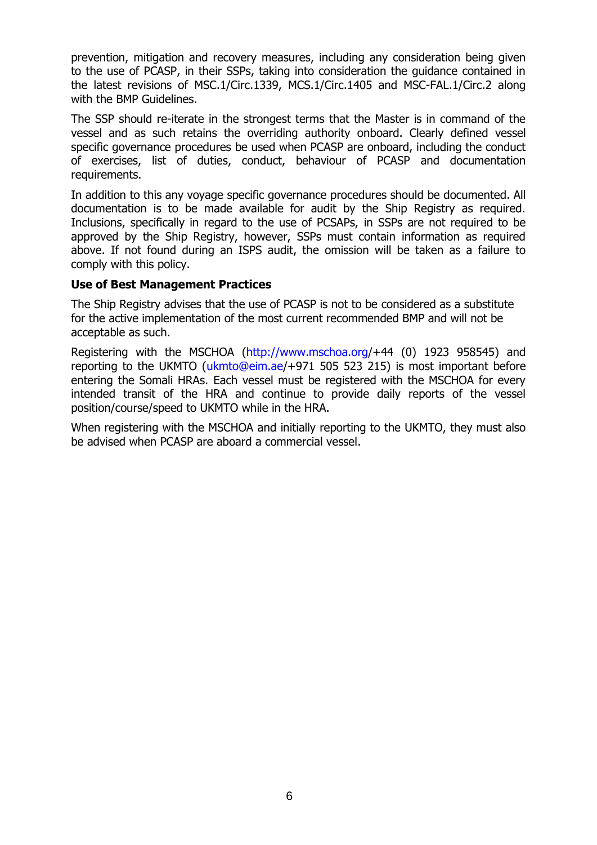prevention, mitigation and recovery measures, including any consideration being given to the use of PCASP, in their SSPs, taking into consideration the guidance contained in the latest revisions of MSC.1/Circ.1339, MCS.1/Circ.1405 and MSC-FAL.1/Circ.2 along with the BMP Guidelines.

The SSP should re-iterate in the strongest terms that the Master is in command of the vessel and as such retains the overriding authority onboard. Clearly defined vessel specific governance procedures be used when PCASP are onboard, including the conduct of exercises, list of duties, conduct, behaviour of PCASP and documentation requirements.

In addition to this any voyage specific governance procedures should be documented. All documentation is to be made available for audit by the Ship Registry as required. Inclusions, specifically in regard to the use of PCSAPs, in SSPs are not required to be approved by the Ship Registry, however, SSPs must contain information as required above. If not found during an ISPS audit, the omission will be taken as a failure to comply with this policy.

### **Use of Best Management Practices**

The Ship Registry advises that the use of PCASP is not to be considered as a substitute for the active implementation of the most current recommended BMP and will not be acceptable as such.

Registering with the MSCHOA [\(http://www.mschoa.org/](https://owa.register-iri.com/exchweb/bin/redir.asp?URL=http://www.mschoa.org)+44 (0) 1923 958545) and reporting to the UKMTO [\(ukmto@eim.ae/](mailto:ukmto@eim.ae)+971 505 523 215) is most important before entering the Somali HRAs. Each vessel must be registered with the MSCHOA for every intended transit of the HRA and continue to provide daily reports of the vessel position/course/speed to UKMTO while in the HRA.

When registering with the MSCHOA and initially reporting to the UKMTO, they must also be advised when PCASP are aboard a commercial vessel.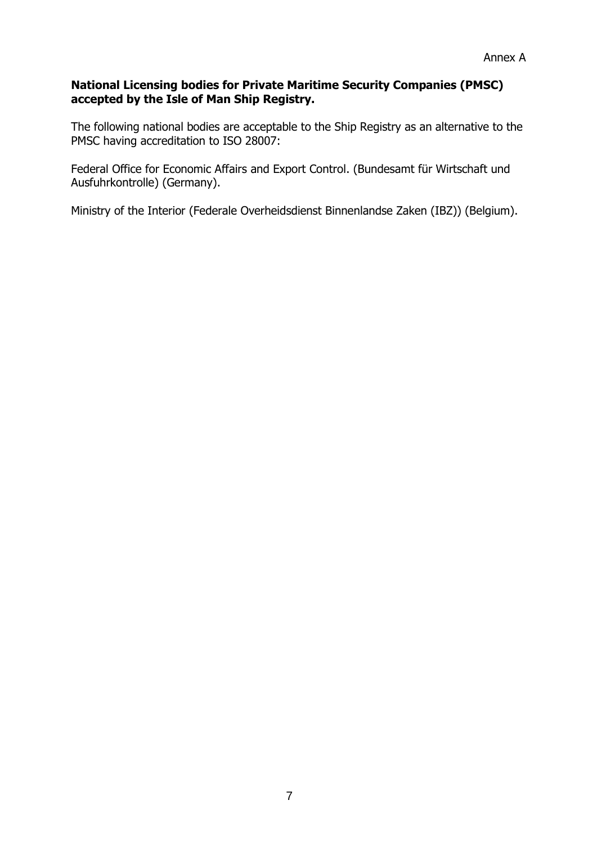### **National Licensing bodies for Private Maritime Security Companies (PMSC) accepted by the Isle of Man Ship Registry.**

The following national bodies are acceptable to the Ship Registry as an alternative to the PMSC having accreditation to ISO 28007:

Federal Office for Economic Affairs and Export Control. (Bundesamt für Wirtschaft und Ausfuhrkontrolle) (Germany).

Ministry of the Interior (Federale Overheidsdienst Binnenlandse Zaken (IBZ)) (Belgium).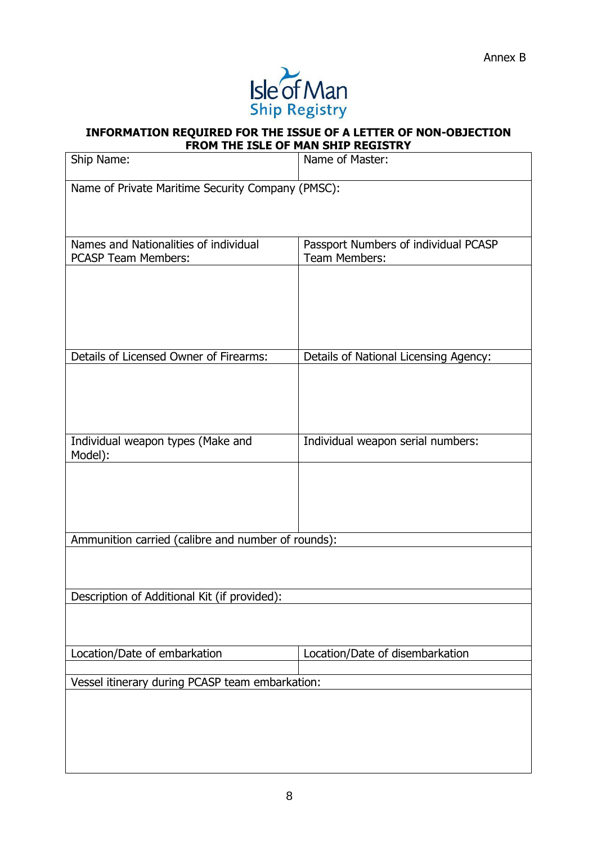

### **INFORMATION REQUIRED FOR THE ISSUE OF A LETTER OF NON-OBJECTION FROM THE ISLE OF MAN SHIP REGISTRY**

|                                                    | ונוס ו                                |
|----------------------------------------------------|---------------------------------------|
| Ship Name:                                         | Name of Master:                       |
| Name of Private Maritime Security Company (PMSC):  |                                       |
|                                                    |                                       |
|                                                    |                                       |
| Names and Nationalities of individual              | Passport Numbers of individual PCASP  |
| <b>PCASP Team Members:</b>                         | Team Members:                         |
|                                                    |                                       |
|                                                    |                                       |
|                                                    |                                       |
|                                                    |                                       |
|                                                    |                                       |
| Details of Licensed Owner of Firearms:             | Details of National Licensing Agency: |
|                                                    |                                       |
|                                                    |                                       |
|                                                    |                                       |
|                                                    |                                       |
| Individual weapon types (Make and                  | Individual weapon serial numbers:     |
| Model):                                            |                                       |
|                                                    |                                       |
|                                                    |                                       |
|                                                    |                                       |
|                                                    |                                       |
| Ammunition carried (calibre and number of rounds): |                                       |
|                                                    |                                       |
|                                                    |                                       |
|                                                    |                                       |
| Description of Additional Kit (if provided):       |                                       |
|                                                    |                                       |
|                                                    |                                       |
|                                                    |                                       |
| Location/Date of embarkation                       | Location/Date of disembarkation       |
| Vessel itinerary during PCASP team embarkation:    |                                       |
|                                                    |                                       |
|                                                    |                                       |
|                                                    |                                       |
|                                                    |                                       |
|                                                    |                                       |
|                                                    |                                       |